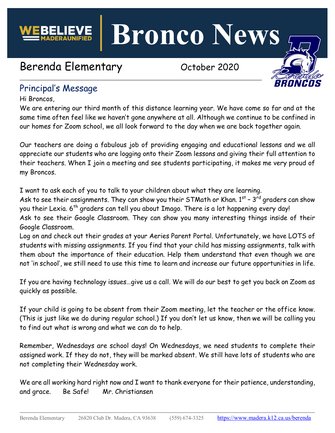**Bronco News**

# Berenda Elementary Corober 2020



# Principal's Message

Hi Broncos,

We are entering our third month of this distance learning year. We have come so far and at the same time often feel like we haven't gone anywhere at all. Although we continue to be confined in our homes for Zoom school, we all look forward to the day when we are back together again.

Our teachers are doing a fabulous job of providing engaging and educational lessons and we all appreciate our students who are logging onto their Zoom lessons and giving their full attention to their teachers. When I join a meeting and see students participating, it makes me very proud of my Broncos.

I want to ask each of you to talk to your children about what they are learning.

Ask to see their assignments. They can show you their STMath or Khan.  $1^{st}$  -  $3^{rd}$  graders can show you their Lexia. 6<sup>th</sup> graders can tell you about Imago. There is a lot happening every day!

Ask to see their Google Classroom. They can show you many interesting things inside of their Google Classroom.

Log on and check out their grades at your Aeries Parent Portal. Unfortunately, we have LOTS of students with missing assignments. If you find that your child has missing assignments, talk with them about the importance of their education. Help them understand that even though we are not 'in school', we still need to use this time to learn and increase our future opportunities in life.

If you are having technology issues…give us a call. We will do our best to get you back on Zoom as quickly as possible.

If your child is going to be absent from their Zoom meeting, let the teacher or the office know. (This is just like we do during regular school.) If you don't let us know, then we will be calling you to find out what is wrong and what we can do to help.

Remember, Wednesdays are school days! On Wednesdays, we need students to complete their assigned work. If they do not, they will be marked absent. We still have lots of students who are not completing their Wednesday work.

We are all working hard right now and I want to thank everyone for their patience, understanding, and grace. Be Safe! Mr. Christiansen